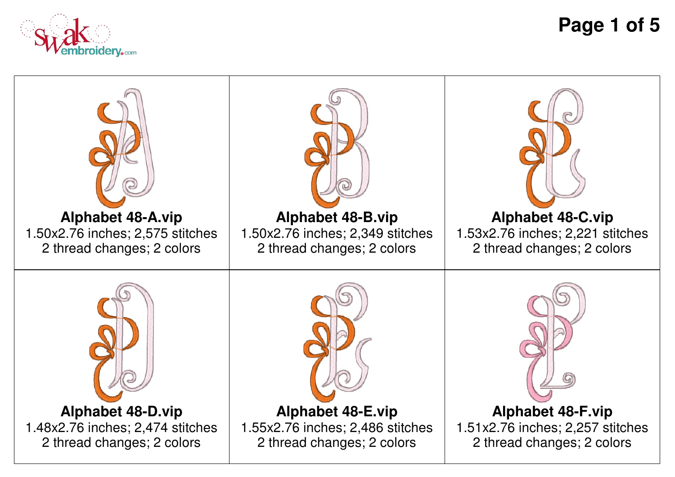

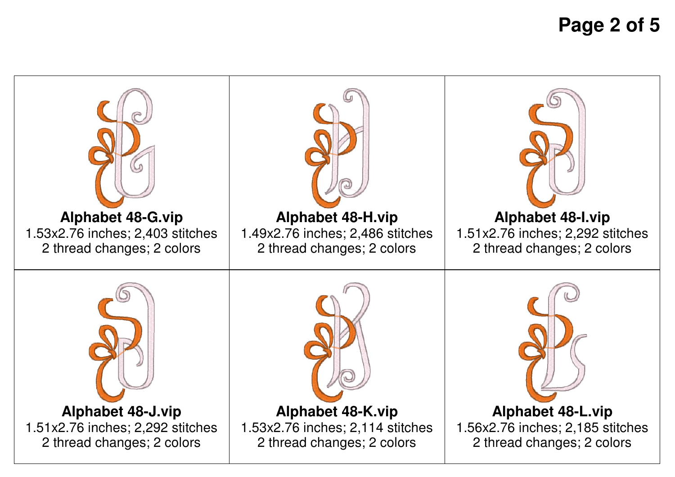**Page 2 of 5**

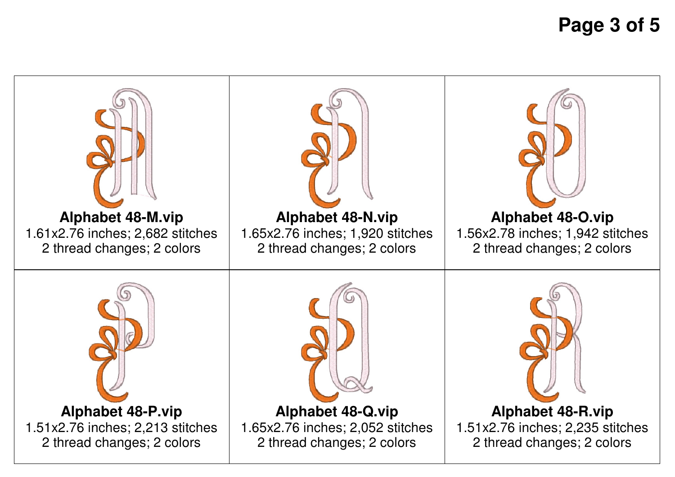**Page 3 of 5**

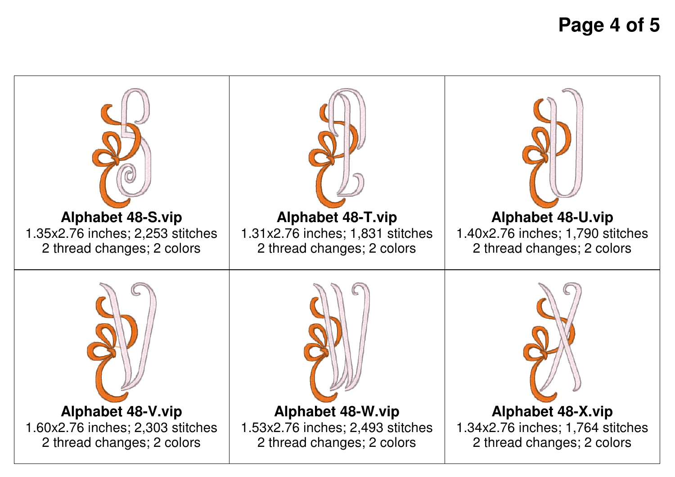**Page 4 of 5**